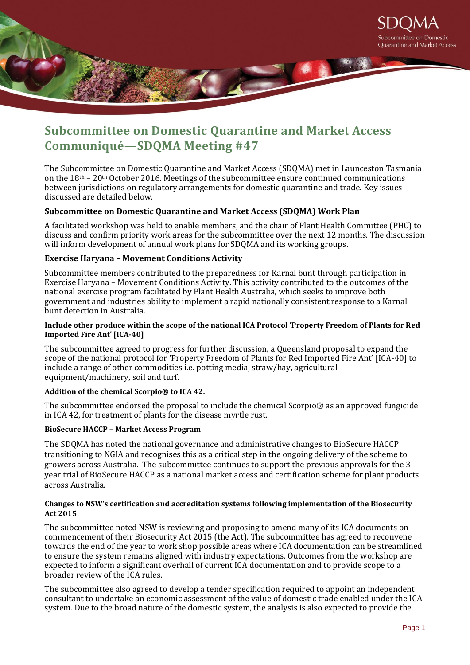

# **Subcommittee on Domestic Quarantine and Market Access Communiqué—SDQMA Meeting #47**

The Subcommittee on Domestic Quarantine and Market Access (SDQMA) met in Launceston Tasmania on the  $18<sup>th</sup> - 20<sup>th</sup>$  October 2016. Meetings of the subcommittee ensure continued communications between jurisdictions on regulatory arrangements for domestic quarantine and trade. Key issues discussed are detailed below.

# **Subcommittee on Domestic Quarantine and Market Access (SDQMA) Work Plan**

A facilitated workshop was held to enable members, and the chair of Plant Health Committee (PHC) to discuss and confirm priority work areas for the subcommittee over the next 12 months. The discussion will inform development of annual work plans for SDQMA and its working groups.

# **Exercise Haryana – Movement Conditions Activity**

Subcommittee members contributed to the preparedness for Karnal bunt through participation in Exercise Haryana – Movement Conditions Activity. This activity contributed to the outcomes of the national exercise program facilitated by Plant Health Australia, which seeks to improve both government and industries ability to implement a rapid nationally consistent response to a Karnal bunt detection in Australia.

## **Include other produce within the scope of the national ICA Protocol 'Property Freedom of Plants for Red Imported Fire Ant' [ICA-40]**

The subcommittee agreed to progress for further discussion, a Queensland proposal to expand the scope of the national protocol for 'Property Freedom of Plants for Red Imported Fire Ant' [ICA-40] to include a range of other commodities i.e. potting media, straw/hay, agricultural equipment/machinery, soil and turf.

## **Addition of the chemical Scorpio® to ICA 42.**

The subcommittee endorsed the proposal to include the chemical Scorpio® as an approved fungicide in ICA 42, for treatment of plants for the disease myrtle rust.

## **BioSecure HACCP – Market Access Program**

The SDQMA has noted the national governance and administrative changes to BioSecure HACCP transitioning to NGIA and recognises this as a critical step in the ongoing delivery of the scheme to growers across Australia. The subcommittee continues to support the previous approvals for the 3 year trial of BioSecure HACCP as a national market access and certification scheme for plant products across Australia.

## **Changes to NSW's certification and accreditation systems following implementation of the Biosecurity Act 2015**

The subcommittee noted NSW is reviewing and proposing to amend many of its ICA documents on commencement of their Biosecurity Act 2015 (the Act). The subcommittee has agreed to reconvene towards the end of the year to work shop possible areas where ICA documentation can be streamlined to ensure the system remains aligned with industry expectations. Outcomes from the workshop are expected to inform a significant overhall of current ICA documentation and to provide scope to a broader review of the ICA rules.

The subcommittee also agreed to develop a tender specification required to appoint an independent consultant to undertake an economic assessment of the value of domestic trade enabled under the ICA system. Due to the broad nature of the domestic system, the analysis is also expected to provide the